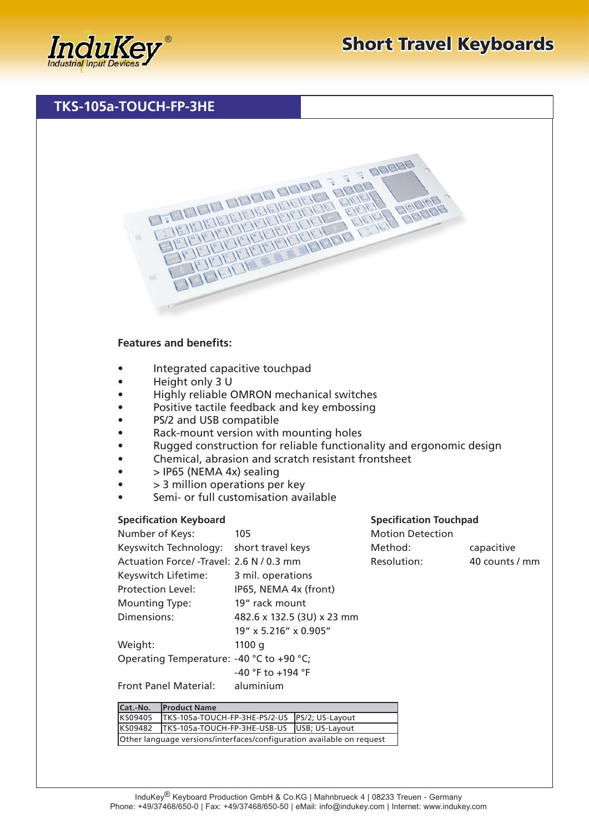

## **Features and benefits:**

- Integrated capacitive touchpad
- Height only 3 U
- Highly reliable OMRON mechanical switches
- Positive tactile feedback and key embossing
- PS/2 and USB compatible
- Rack-mount version with mounting holes
- Rugged construction for reliable functionality and ergonomic design
- Chemical, abrasion and scratch resistant frontsheet
- > IP65 (NEMA 4x) sealing
- > 3 million operations per key
- Semi- or full customisation available

## **Specification Keyboard**

| Number of Keys:                          | 105                        | <b>Motion Detection</b> |                |
|------------------------------------------|----------------------------|-------------------------|----------------|
| Keyswitch Technology: short travel keys  |                            | Method:                 | capacitive     |
| Actuation Force/-Travel: 2.6 N / 0.3 mm  |                            | Resolution:             | 40 counts / mm |
| Keyswitch Lifetime:                      | 3 mil. operations          |                         |                |
| <b>Protection Level:</b>                 | IP65, NEMA 4x (front)      |                         |                |
| Mounting Type:                           | 19" rack mount             |                         |                |
| Dimensions:                              | 482.6 x 132.5 (3U) x 23 mm |                         |                |
|                                          | 19" x 5.216" x 0.905"      |                         |                |
| Weight:                                  | 1100 g                     |                         |                |
| Operating Temperature: -40 °C to +90 °C; |                            |                         |                |
|                                          | $-40$ °F to $+194$ °F      |                         |                |
|                                          |                            |                         |                |

**Specification Touchpad**

Front Panel Material: aluminium

| lCat.-No.                                                             | <b>Product Name</b>                           |  |  |  |
|-----------------------------------------------------------------------|-----------------------------------------------|--|--|--|
| lks09405                                                              | TKS-105a-TOUCH-FP-3HE-PS/2-US PS/2; US-Layout |  |  |  |
|                                                                       |                                               |  |  |  |
| Other language versions/interfaces/configuration available on request |                                               |  |  |  |